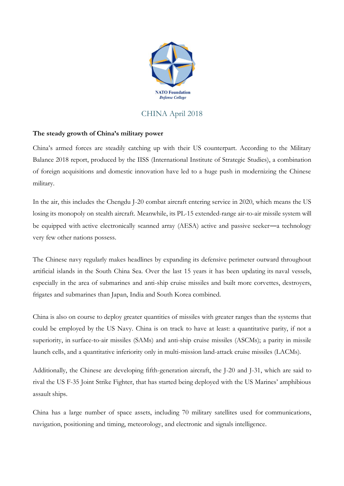

## CHINA April 2018

## **The steady growth of China's military power**

China's armed forces are steadily catching up with their US counterpart. According to the Military Balance 2018 report, produced by the IISS (International Institute of Strategic Studies), a combination of foreign acquisitions and domestic innovation have led to a huge push in modernizing the Chinese military.

In the air, this includes the Chengdu J-20 combat aircraft entering service in 2020, which means the US losing its monopoly on stealth aircraft. Meanwhile, its PL-15 extended-range air-to-air missile system will be equipped with active electronically scanned array (AESA) active and passive seeker—a technology very few other nations possess.

The Chinese navy regularly makes headlines by expanding its defensive perimeter outward throughout artificial islands in the South China Sea. Over the last 15 years it has been updating its naval vessels, especially in the area of submarines and anti-ship cruise missiles and built more corvettes, destroyers, frigates and submarines than Japan, India and South Korea combined.

China is also on course to deploy greater quantities of missiles with greater ranges than the systems that could be employed by the US Navy. China is on track to have at least: a quantitative parity, if not a superiority, in surface-to-air missiles (SAMs) and anti-ship cruise missiles (ASCMs); a parity in missile launch cells, and a quantitative inferiority only in multi-mission land-attack cruise missiles (LACMs).

Additionally, the Chinese are developing fifth-generation aircraft, the J-20 and J-31, which are said to rival the US F-35 Joint Strike Fighter, that has started being deployed with the US Marines' amphibious assault ships.

China has a large number of space assets, including 70 military satellites used for communications, navigation, positioning and timing, meteorology, and electronic and signals intelligence.